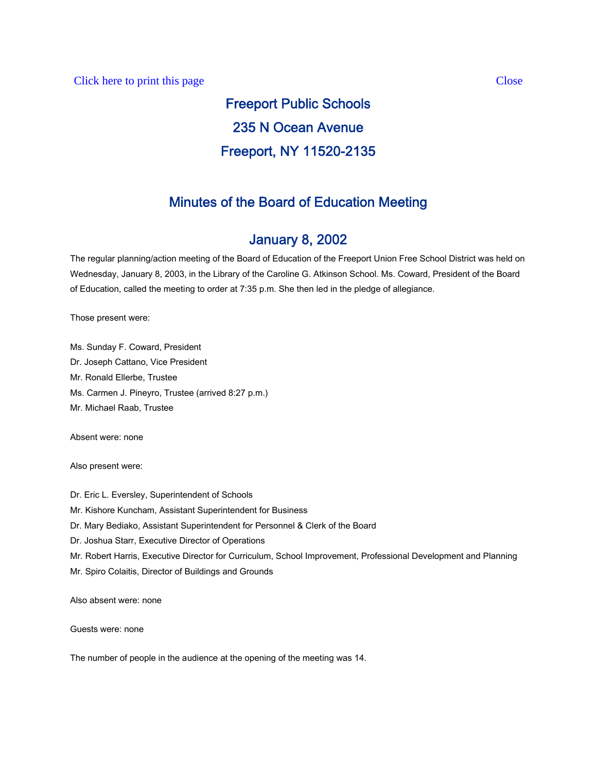# Freeport Public Schools 235 N Ocean Avenue Freeport, NY 11520-2135

# Minutes of the Board of Education Meeting

# January 8, 2002

The regular planning/action meeting of the Board of Education of the Freeport Union Free School District was held on Wednesday, January 8, 2003, in the Library of the Caroline G. Atkinson School. Ms. Coward, President of the Board of Education, called the meeting to order at 7:35 p.m. She then led in the pledge of allegiance.

Those present were:

Ms. Sunday F. Coward, President Dr. Joseph Cattano, Vice President Mr. Ronald Ellerbe, Trustee Ms. Carmen J. Pineyro, Trustee (arrived 8:27 p.m.) Mr. Michael Raab, Trustee

Absent were: none

Also present were:

Dr. Eric L. Eversley, Superintendent of Schools Mr. Kishore Kuncham, Assistant Superintendent for Business Dr. Mary Bediako, Assistant Superintendent for Personnel & Clerk of the Board Dr. Joshua Starr, Executive Director of Operations Mr. Robert Harris, Executive Director for Curriculum, School Improvement, Professional Development and Planning Mr. Spiro Colaitis, Director of Buildings and Grounds

Also absent were: none

Guests were: none

The number of people in the audience at the opening of the meeting was 14.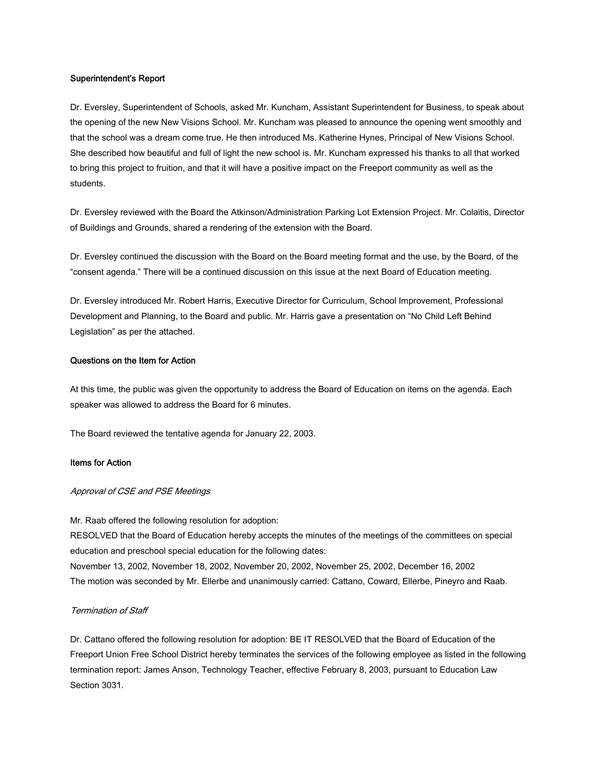## Superintendent's Report

Dr. Eversley, Superintendent of Schools, asked Mr. Kuncham, Assistant Superintendent for Business, to speak about the opening of the new New Visions School. Mr. Kuncham was pleased to announce the opening went smoothly and that the school was a dream come true. He then introduced Ms. Katherine Hynes, Principal of New Visions School. She described how beautiful and full of light the new school is. Mr. Kuncham expressed his thanks to all that worked to bring this project to fruition, and that it will have a positive impact on the Freeport community as well as the students.

Dr. Eversley reviewed with the Board the Atkinson/Administration Parking Lot Extension Project. Mr. Colaitis, Director of Buildings and Grounds, shared a rendering of the extension with the Board.

Dr. Eversley continued the discussion with the Board on the Board meeting format and the use, by the Board, of the "consent agenda." There will be a continued discussion on this issue at the next Board of Education meeting.

Dr. Eversley introduced Mr. Robert Harris, Executive Director for Curriculum, School Improvement, Professional Development and Planning, to the Board and public. Mr. Harris gave a presentation on "No Child Left Behind Legislation" as per the attached.

## Questions on the Item for Action

At this time, the public was given the opportunity to address the Board of Education on items on the agenda. Each speaker was allowed to address the Board for 6 minutes.

The Board reviewed the tentative agenda for January 22, 2003.

#### Items for Action

#### Approval of CSE and PSE Meetings

Mr. Raab offered the following resolution for adoption: RESOLVED that the Board of Education hereby accepts the minutes of the meetings of the committees on special education and preschool special education for the following dates: November 13, 2002, November 18, 2002, November 20, 2002, November 25, 2002, December 16, 2002 The motion was seconded by Mr. Ellerbe and unanimously carried: Cattano, Coward, Ellerbe, Pineyro and Raab.

# Termination of Staff

Dr. Cattano offered the following resolution for adoption: BE IT RESOLVED that the Board of Education of the Freeport Union Free School District hereby terminates the services of the following employee as listed in the following termination report: James Anson, Technology Teacher, effective February 8, 2003, pursuant to Education Law Section 3031.